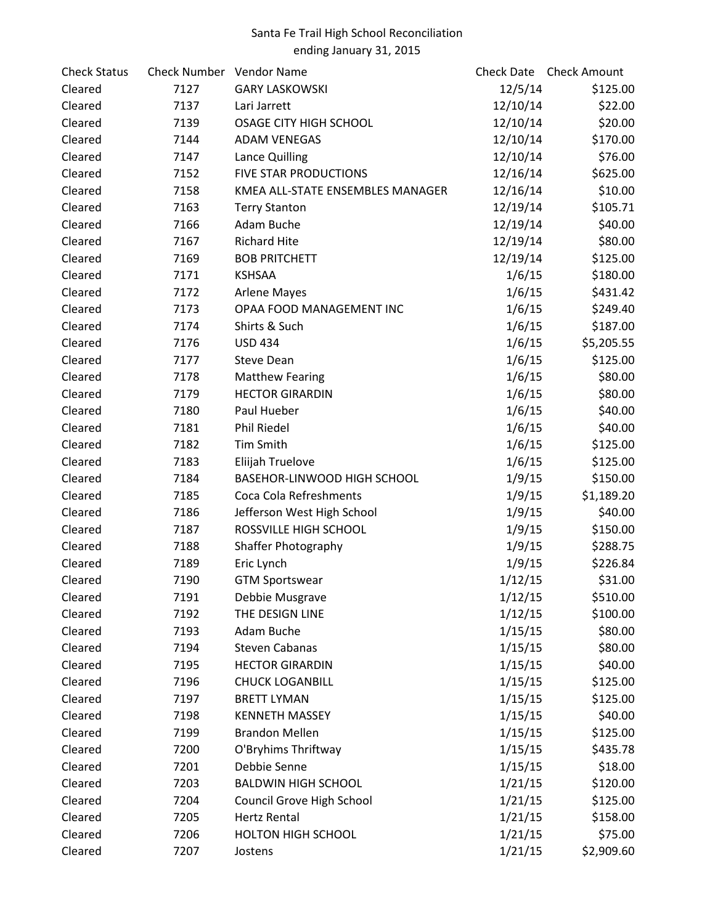| <b>Check Status</b> | Check Number Vendor Name |                                  |          | Check Date Check Amount |
|---------------------|--------------------------|----------------------------------|----------|-------------------------|
| Cleared             | 7127                     | <b>GARY LASKOWSKI</b>            | 12/5/14  | \$125.00                |
| Cleared             | 7137                     | Lari Jarrett                     | 12/10/14 | \$22.00                 |
| Cleared             | 7139                     | <b>OSAGE CITY HIGH SCHOOL</b>    | 12/10/14 | \$20.00                 |
| Cleared             | 7144                     | <b>ADAM VENEGAS</b>              | 12/10/14 | \$170.00                |
| Cleared             | 7147                     | Lance Quilling                   | 12/10/14 | \$76.00                 |
| Cleared             | 7152                     | <b>FIVE STAR PRODUCTIONS</b>     | 12/16/14 | \$625.00                |
| Cleared             | 7158                     | KMEA ALL-STATE ENSEMBLES MANAGER | 12/16/14 | \$10.00                 |
| Cleared             | 7163                     | <b>Terry Stanton</b>             | 12/19/14 | \$105.71                |
| Cleared             | 7166                     | Adam Buche                       | 12/19/14 | \$40.00                 |
| Cleared             | 7167                     | <b>Richard Hite</b>              | 12/19/14 | \$80.00                 |
| Cleared             | 7169                     | <b>BOB PRITCHETT</b>             | 12/19/14 | \$125.00                |
| Cleared             | 7171                     | <b>KSHSAA</b>                    | 1/6/15   | \$180.00                |
| Cleared             | 7172                     | <b>Arlene Mayes</b>              | 1/6/15   | \$431.42                |
| Cleared             | 7173                     | OPAA FOOD MANAGEMENT INC         | 1/6/15   | \$249.40                |
| Cleared             | 7174                     | Shirts & Such                    | 1/6/15   | \$187.00                |
| Cleared             | 7176                     | <b>USD 434</b>                   | 1/6/15   | \$5,205.55              |
| Cleared             | 7177                     | <b>Steve Dean</b>                | 1/6/15   | \$125.00                |
| Cleared             | 7178                     | <b>Matthew Fearing</b>           | 1/6/15   | \$80.00                 |
| Cleared             | 7179                     | <b>HECTOR GIRARDIN</b>           | 1/6/15   | \$80.00                 |
| Cleared             | 7180                     | Paul Hueber                      | 1/6/15   | \$40.00                 |
| Cleared             | 7181                     | <b>Phil Riedel</b>               | 1/6/15   | \$40.00                 |
| Cleared             | 7182                     | <b>Tim Smith</b>                 | 1/6/15   | \$125.00                |
| Cleared             | 7183                     | Eliijah Truelove                 | 1/6/15   | \$125.00                |
| Cleared             | 7184                     | BASEHOR-LINWOOD HIGH SCHOOL      | 1/9/15   | \$150.00                |
| Cleared             | 7185                     | Coca Cola Refreshments           | 1/9/15   | \$1,189.20              |
| Cleared             | 7186                     | Jefferson West High School       | 1/9/15   | \$40.00                 |
| Cleared             | 7187                     | ROSSVILLE HIGH SCHOOL            | 1/9/15   | \$150.00                |
| Cleared             | 7188                     | Shaffer Photography              | 1/9/15   | \$288.75                |
| Cleared             | 7189                     | Eric Lynch                       | 1/9/15   | \$226.84                |
| Cleared             | 7190                     | <b>GTM Sportswear</b>            | 1/12/15  | \$31.00                 |
| Cleared             | 7191                     | Debbie Musgrave                  | 1/12/15  | \$510.00                |
| Cleared             | 7192                     | THE DESIGN LINE                  | 1/12/15  | \$100.00                |
| Cleared             | 7193                     | Adam Buche                       | 1/15/15  | \$80.00                 |
| Cleared             | 7194                     | <b>Steven Cabanas</b>            | 1/15/15  | \$80.00                 |
| Cleared             | 7195                     | <b>HECTOR GIRARDIN</b>           | 1/15/15  | \$40.00                 |
| Cleared             | 7196                     | <b>CHUCK LOGANBILL</b>           | 1/15/15  | \$125.00                |
| Cleared             | 7197                     | <b>BRETT LYMAN</b>               | 1/15/15  | \$125.00                |
| Cleared             | 7198                     | <b>KENNETH MASSEY</b>            | 1/15/15  | \$40.00                 |
| Cleared             | 7199                     | <b>Brandon Mellen</b>            | 1/15/15  | \$125.00                |
| Cleared             | 7200                     | O'Bryhims Thriftway              | 1/15/15  | \$435.78                |
| Cleared             | 7201                     | Debbie Senne                     | 1/15/15  | \$18.00                 |
| Cleared             | 7203                     | <b>BALDWIN HIGH SCHOOL</b>       | 1/21/15  | \$120.00                |
| Cleared             | 7204                     | Council Grove High School        | 1/21/15  | \$125.00                |
| Cleared             | 7205                     | <b>Hertz Rental</b>              | 1/21/15  | \$158.00                |
| Cleared             | 7206                     | <b>HOLTON HIGH SCHOOL</b>        | 1/21/15  | \$75.00                 |
| Cleared             | 7207                     | Jostens                          | 1/21/15  | \$2,909.60              |